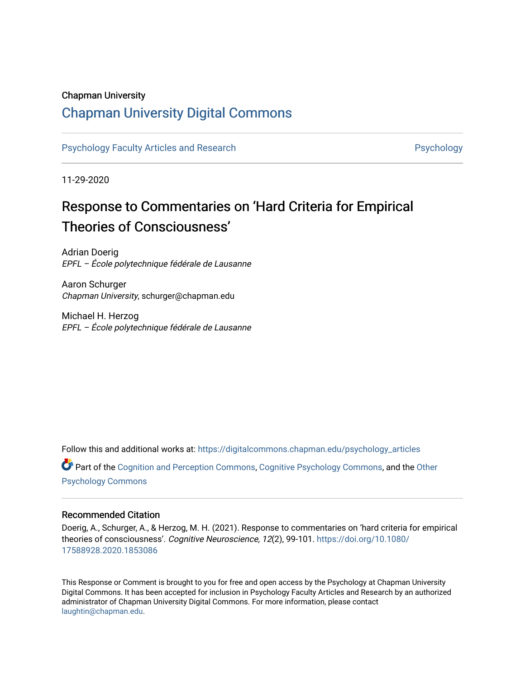#### Chapman University

## [Chapman University Digital Commons](https://digitalcommons.chapman.edu/)

[Psychology Faculty Articles and Research](https://digitalcommons.chapman.edu/psychology_articles) **Provident Contact Article Structure** Psychology

11-29-2020

# Response to Commentaries on 'Hard Criteria for Empirical Theories of Consciousness'

Adrian Doerig EPFL – École polytechnique fédérale de Lausanne

Aaron Schurger Chapman University, schurger@chapman.edu

Michael H. Herzog EPFL – École polytechnique fédérale de Lausanne

Follow this and additional works at: [https://digitalcommons.chapman.edu/psychology\\_articles](https://digitalcommons.chapman.edu/psychology_articles?utm_source=digitalcommons.chapman.edu%2Fpsychology_articles%2F234&utm_medium=PDF&utm_campaign=PDFCoverPages)

Part of the [Cognition and Perception Commons,](http://network.bepress.com/hgg/discipline/407?utm_source=digitalcommons.chapman.edu%2Fpsychology_articles%2F234&utm_medium=PDF&utm_campaign=PDFCoverPages) [Cognitive Psychology Commons](http://network.bepress.com/hgg/discipline/408?utm_source=digitalcommons.chapman.edu%2Fpsychology_articles%2F234&utm_medium=PDF&utm_campaign=PDFCoverPages), and the [Other](http://network.bepress.com/hgg/discipline/415?utm_source=digitalcommons.chapman.edu%2Fpsychology_articles%2F234&utm_medium=PDF&utm_campaign=PDFCoverPages) [Psychology Commons](http://network.bepress.com/hgg/discipline/415?utm_source=digitalcommons.chapman.edu%2Fpsychology_articles%2F234&utm_medium=PDF&utm_campaign=PDFCoverPages) 

#### Recommended Citation

Doerig, A., Schurger, A., & Herzog, M. H. (2021). Response to commentaries on 'hard criteria for empirical theories of consciousness'. Cognitive Neuroscience, 12(2), 99-101. [https://doi.org/10.1080/](https://doi.org/10.1080/17588928.2020.1853086) [17588928.2020.1853086](https://doi.org/10.1080/17588928.2020.1853086) 

This Response or Comment is brought to you for free and open access by the Psychology at Chapman University Digital Commons. It has been accepted for inclusion in Psychology Faculty Articles and Research by an authorized administrator of Chapman University Digital Commons. For more information, please contact [laughtin@chapman.edu.](mailto:laughtin@chapman.edu)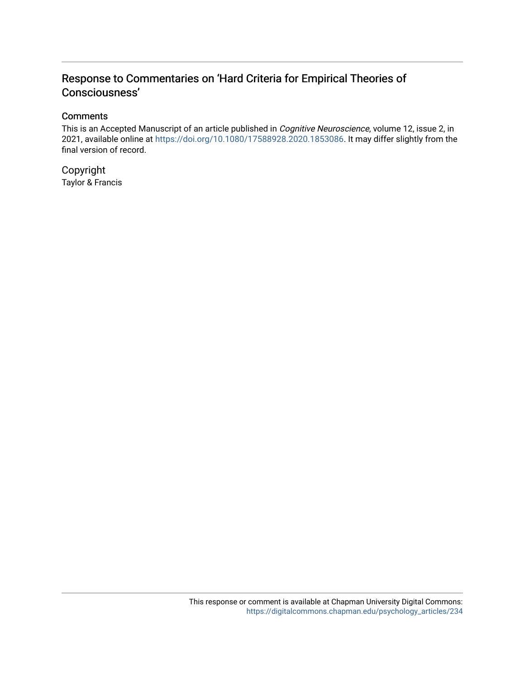### Response to Commentaries on 'Hard Criteria for Empirical Theories of Consciousness'

#### **Comments**

This is an Accepted Manuscript of an article published in Cognitive Neuroscience, volume 12, issue 2, in 2021, available online at<https://doi.org/10.1080/17588928.2020.1853086>. It may differ slightly from the final version of record.

Copyright Taylor & Francis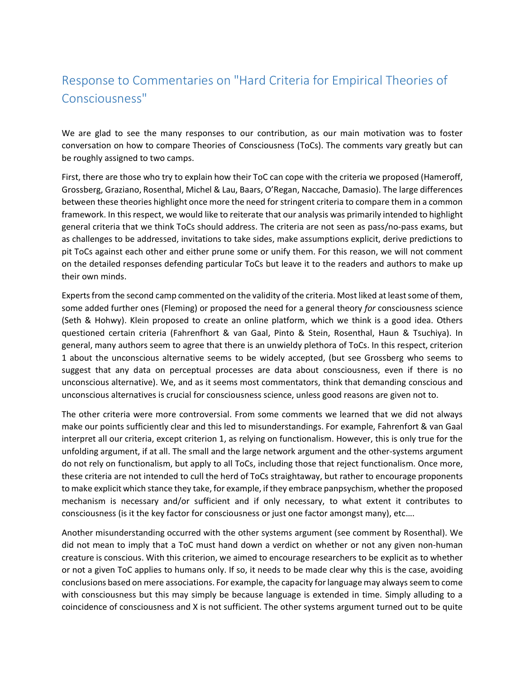## Response to Commentaries on "Hard Criteria for Empirical Theories of Consciousness"

We are glad to see the many responses to our contribution, as our main motivation was to foster conversation on how to compare Theories of Consciousness (ToCs). The comments vary greatly but can be roughly assigned to two camps.

First, there are those who try to explain how their ToC can cope with the criteria we proposed (Hameroff, Grossberg, Graziano, Rosenthal, Michel & Lau, Baars, O'Regan, Naccache, Damasio). The large differences between these theories highlight once more the need for stringent criteria to compare them in a common framework. In this respect, we would like to reiterate that our analysis was primarily intended to highlight general criteria that we think ToCs should address. The criteria are not seen as pass/no-pass exams, but as challenges to be addressed, invitations to take sides, make assumptions explicit, derive predictions to pit ToCs against each other and either prune some or unify them. For this reason, we will not comment on the detailed responses defending particular ToCs but leave it to the readers and authors to make up their own minds.

Experts from the second camp commented on the validity of the criteria. Most liked at least some of them, some added further ones (Fleming) or proposed the need for a general theory *for* consciousness science (Seth & Hohwy). Klein proposed to create an online platform, which we think is a good idea. Others questioned certain criteria (Fahrenfhort & van Gaal, Pinto & Stein, Rosenthal, Haun & Tsuchiya). In general, many authors seem to agree that there is an unwieldy plethora of ToCs. In this respect, criterion 1 about the unconscious alternative seems to be widely accepted, (but see Grossberg who seems to suggest that any data on perceptual processes are data about consciousness, even if there is no unconscious alternative). We, and as it seems most commentators, think that demanding conscious and unconscious alternatives is crucial for consciousness science, unless good reasons are given not to.

The other criteria were more controversial. From some comments we learned that we did not always make our points sufficiently clear and this led to misunderstandings. For example, Fahrenfort & van Gaal interpret all our criteria, except criterion 1, as relying on functionalism. However, this is only true for the unfolding argument, if at all. The small and the large network argument and the other-systems argument do not rely on functionalism, but apply to all ToCs, including those that reject functionalism. Once more, these criteria are not intended to cull the herd of ToCs straightaway, but rather to encourage proponents to make explicit which stance they take, for example, if they embrace panpsychism, whether the proposed mechanism is necessary and/or sufficient and if only necessary, to what extent it contributes to consciousness (is it the key factor for consciousness or just one factor amongst many), etc….

Another misunderstanding occurred with the other systems argument (see comment by Rosenthal). We did not mean to imply that a ToC must hand down a verdict on whether or not any given non-human creature is conscious. With this criterion, we aimed to encourage researchers to be explicit as to whether or not a given ToC applies to humans only. If so, it needs to be made clear why this is the case, avoiding conclusions based on mere associations. For example, the capacity for language may alwaysseem to come with consciousness but this may simply be because language is extended in time. Simply alluding to a coincidence of consciousness and X is not sufficient. The other systems argument turned out to be quite